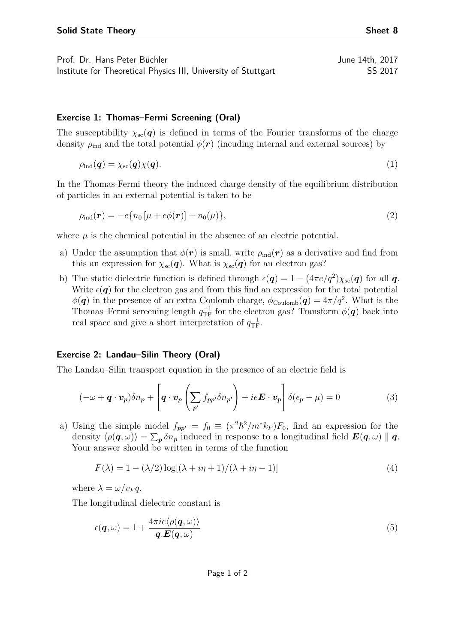Prof. Dr. Hans Peter Büchler June 14th, 2017 Institute for Theoretical Physics III, University of Stuttgart SS 2017

## **Exercise 1: Thomas–Fermi Screening (Oral)**

The susceptibility  $\chi_{\rm sc}(q)$  is defined in terms of the Fourier transforms of the charge density  $\rho_{\text{ind}}$  and the total potential  $\phi(\mathbf{r})$  (incuding internal and external sources) by

$$
\rho_{\text{ind}}(\boldsymbol{q}) = \chi_{\text{sc}}(\boldsymbol{q}) \chi(\boldsymbol{q}). \tag{1}
$$

In the Thomas-Fermi theory the induced charge density of the equilibrium distribution of particles in an external potential is taken to be

$$
\rho_{\rm ind}(\mathbf{r}) = -e\{n_0\left[\mu + e\phi(\mathbf{r})\right] - n_0(\mu)\},\tag{2}
$$

where  $\mu$  is the chemical potential in the absence of an electric potential.

- a) Under the assumption that  $\phi(\mathbf{r})$  is small, write  $\rho_{\text{ind}}(\mathbf{r})$  as a derivative and find from this an expression for  $\chi_{\rm sc}(q)$ . What is  $\chi_{\rm sc}(q)$  for an electron gas?
- b) The static dielectric function is defined through  $\epsilon(\mathbf{q}) = 1 (4\pi e/q^2)\chi_{\rm sc}(\mathbf{q})$  for all  $\mathbf{q}$ . Write  $\epsilon(\mathbf{q})$  for the electron gas and from this find an expression for the total potential  $\phi(\mathbf{q})$  in the presence of an extra Coulomb charge,  $\phi_{\text{Coulomb}}(\mathbf{q}) = 4\pi/q^2$ . What is the Thomas–Fermi screening length  $q_{\text{TF}}^{-1}$  for the electron gas? Transform  $\phi(\boldsymbol{q})$  back into real space and give a short interpretation of  $q_{\text{TF}}^{-1}$ .

## **Exercise 2: Landau–Silin Theory (Oral)**

The Landau–Silin transport equation in the presence of an electric field is

$$
(-\omega + \boldsymbol{q} \cdot \boldsymbol{v}_p) \delta n_p + \left[ \boldsymbol{q} \cdot \boldsymbol{v}_p \left( \sum_{p'} f_{pp'} \delta n_{p'} \right) + ie \boldsymbol{E} \cdot \boldsymbol{v}_p \right] \delta(\epsilon_p - \mu) = 0 \tag{3}
$$

a) Using the simple model  $f_{pp'} = f_0 \equiv (\pi^2 \hbar^2 / m^* k_F) F_0$ , find an expression for the density  $\langle \rho(\bm{q}, \omega) \rangle = \sum_{\bm{p}} \delta n_{\bm{p}}$  induced in response to a longitudinal field  $\bm{E}(\bm{q}, \omega) \parallel \bm{q}$ . Your answer should be written in terms of the function

$$
F(\lambda) = 1 - (\lambda/2) \log[(\lambda + i\eta + 1)/(\lambda + i\eta - 1)]
$$
\n(4)

where  $\lambda = \omega/v_F q$ .

The longitudinal dielectric constant is

$$
\epsilon(\mathbf{q},\omega) = 1 + \frac{4\pi i e \langle \rho(\mathbf{q},\omega) \rangle}{\mathbf{q}. \mathbf{E}(\mathbf{q},\omega)}
$$
(5)